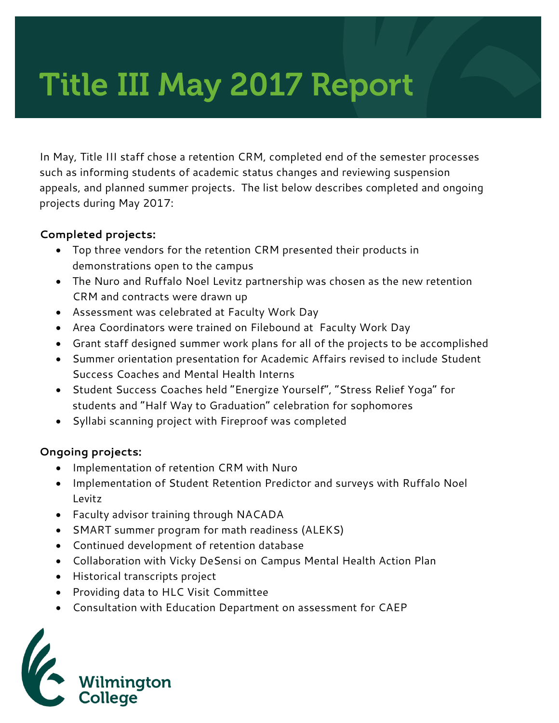# Title III May 2017 Report

In May, Title III staff chose a retention CRM, completed end of the semester processes such as informing students of academic status changes and reviewing suspension appeals, and planned summer projects. The list below describes completed and ongoing projects during May 2017:

#### **Completed projects:**

- Top three vendors for the retention CRM presented their products in demonstrations open to the campus
- The Nuro and Ruffalo Noel Levitz partnership was chosen as the new retention CRM and contracts were drawn up
- Assessment was celebrated at Faculty Work Day
- Area Coordinators were trained on Filebound at Faculty Work Day
- Grant staff designed summer work plans for all of the projects to be accomplished
- Summer orientation presentation for Academic Affairs revised to include Student Success Coaches and Mental Health Interns
- Student Success Coaches held "Energize Yourself", "Stress Relief Yoga" for students and "Half Way to Graduation" celebration for sophomores
- Syllabi scanning project with Fireproof was completed

### **Ongoing projects:**

- Implementation of retention CRM with Nuro
- Implementation of Student Retention Predictor and surveys with Ruffalo Noel Levitz
- Faculty advisor training through NACADA
- SMART summer program for math readiness (ALEKS)
- Continued development of retention database
- Collaboration with Vicky DeSensi on Campus Mental Health Action Plan
- Historical transcripts project
- Providing data to HLC Visit Committee
- Consultation with Education Department on assessment for CAEP